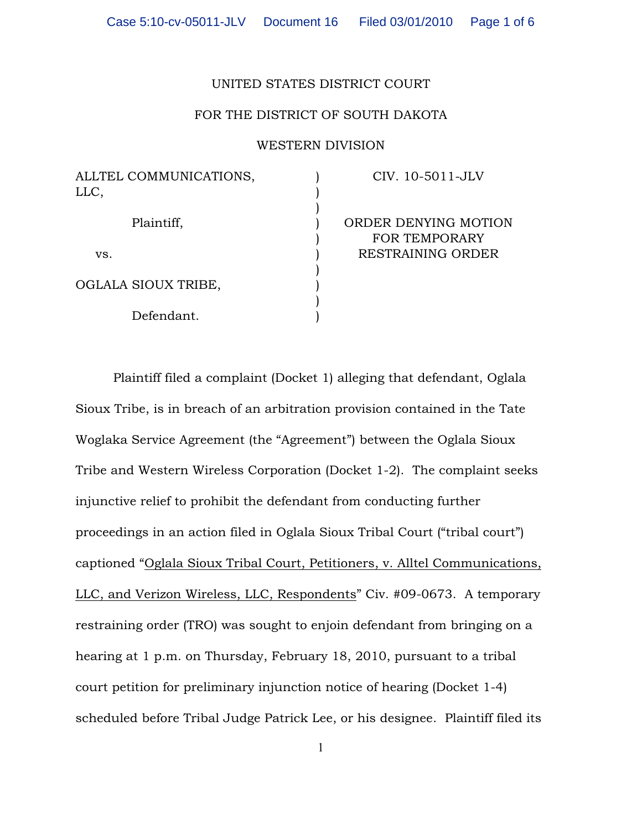## UNITED STATES DISTRICT COURT

## FOR THE DISTRICT OF SOUTH DAKOTA

## WESTERN DIVISION

) ) ) ) ) ) ) ) ) )

OGLALA SIOUX TRIBE,

Defendant.

CIV. 10-5011-JLV

ORDER DENYING MOTION FOR TEMPORARY RESTRAINING ORDER

Plaintiff filed a complaint (Docket 1) alleging that defendant, Oglala Sioux Tribe, is in breach of an arbitration provision contained in the Tate Woglaka Service Agreement (the "Agreement") between the Oglala Sioux Tribe and Western Wireless Corporation (Docket 1-2). The complaint seeks injunctive relief to prohibit the defendant from conducting further proceedings in an action filed in Oglala Sioux Tribal Court ("tribal court") captioned "Oglala Sioux Tribal Court, Petitioners, v. Alltel Communications, LLC, and Verizon Wireless, LLC, Respondents" Civ. #09-0673. A temporary restraining order (TRO) was sought to enjoin defendant from bringing on a hearing at 1 p.m. on Thursday, February 18, 2010, pursuant to a tribal court petition for preliminary injunction notice of hearing (Docket 1-4) scheduled before Tribal Judge Patrick Lee, or his designee. Plaintiff filed its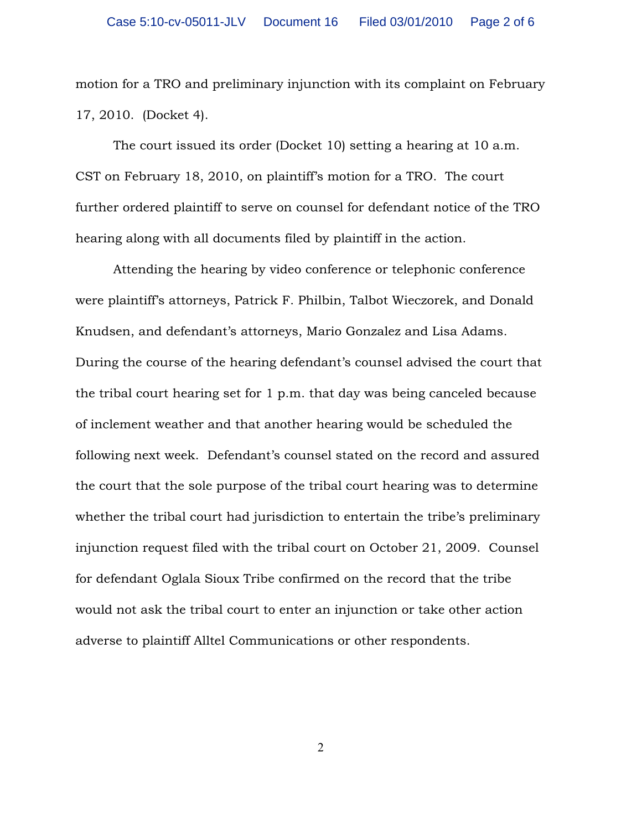motion for a TRO and preliminary injunction with its complaint on February 17, 2010. (Docket 4).

The court issued its order (Docket 10) setting a hearing at 10 a.m. CST on February 18, 2010, on plaintiff's motion for a TRO. The court further ordered plaintiff to serve on counsel for defendant notice of the TRO hearing along with all documents filed by plaintiff in the action.

Attending the hearing by video conference or telephonic conference were plaintiff's attorneys, Patrick F. Philbin, Talbot Wieczorek, and Donald Knudsen, and defendant's attorneys, Mario Gonzalez and Lisa Adams. During the course of the hearing defendant's counsel advised the court that the tribal court hearing set for 1 p.m. that day was being canceled because of inclement weather and that another hearing would be scheduled the following next week. Defendant's counsel stated on the record and assured the court that the sole purpose of the tribal court hearing was to determine whether the tribal court had jurisdiction to entertain the tribe's preliminary injunction request filed with the tribal court on October 21, 2009. Counsel for defendant Oglala Sioux Tribe confirmed on the record that the tribe would not ask the tribal court to enter an injunction or take other action adverse to plaintiff Alltel Communications or other respondents.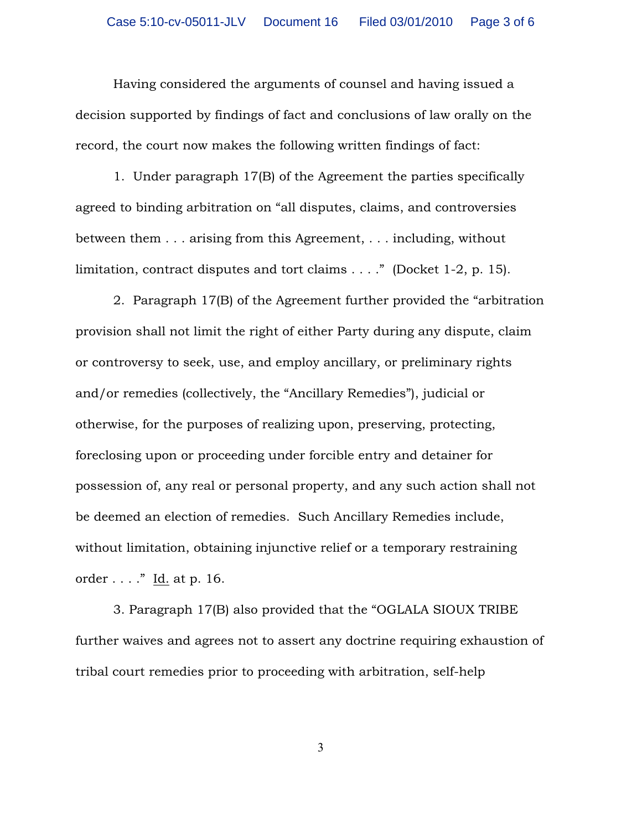Having considered the arguments of counsel and having issued a decision supported by findings of fact and conclusions of law orally on the record, the court now makes the following written findings of fact:

1. Under paragraph 17(B) of the Agreement the parties specifically agreed to binding arbitration on "all disputes, claims, and controversies between them . . . arising from this Agreement, . . . including, without limitation, contract disputes and tort claims . . . ." (Docket 1-2, p. 15).

2. Paragraph 17(B) of the Agreement further provided the "arbitration provision shall not limit the right of either Party during any dispute, claim or controversy to seek, use, and employ ancillary, or preliminary rights and/or remedies (collectively, the "Ancillary Remedies"), judicial or otherwise, for the purposes of realizing upon, preserving, protecting, foreclosing upon or proceeding under forcible entry and detainer for possession of, any real or personal property, and any such action shall not be deemed an election of remedies. Such Ancillary Remedies include, without limitation, obtaining injunctive relief or a temporary restraining order . . . ." Id. at p. 16.

3. Paragraph 17(B) also provided that the "OGLALA SIOUX TRIBE further waives and agrees not to assert any doctrine requiring exhaustion of tribal court remedies prior to proceeding with arbitration, self-help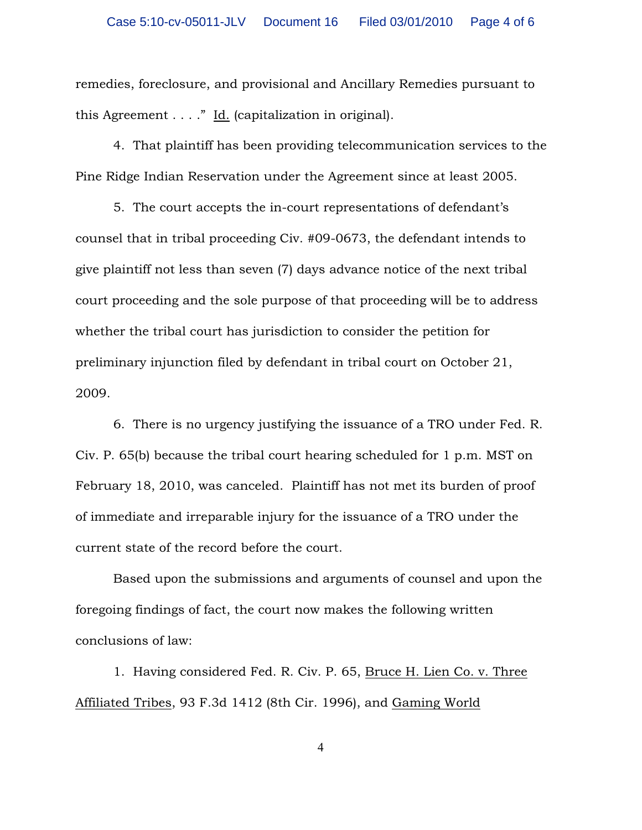remedies, foreclosure, and provisional and Ancillary Remedies pursuant to this Agreement . . . ." Id. (capitalization in original).

4. That plaintiff has been providing telecommunication services to the Pine Ridge Indian Reservation under the Agreement since at least 2005.

5. The court accepts the in-court representations of defendant's counsel that in tribal proceeding Civ. #09-0673, the defendant intends to give plaintiff not less than seven (7) days advance notice of the next tribal court proceeding and the sole purpose of that proceeding will be to address whether the tribal court has jurisdiction to consider the petition for preliminary injunction filed by defendant in tribal court on October 21, 2009.

6. There is no urgency justifying the issuance of a TRO under Fed. R. Civ. P. 65(b) because the tribal court hearing scheduled for 1 p.m. MST on February 18, 2010, was canceled. Plaintiff has not met its burden of proof of immediate and irreparable injury for the issuance of a TRO under the current state of the record before the court.

Based upon the submissions and arguments of counsel and upon the foregoing findings of fact, the court now makes the following written conclusions of law:

1. Having considered Fed. R. Civ. P. 65, Bruce H. Lien Co. v. Three Affiliated Tribes, 93 F.3d 1412 (8th Cir. 1996), and Gaming World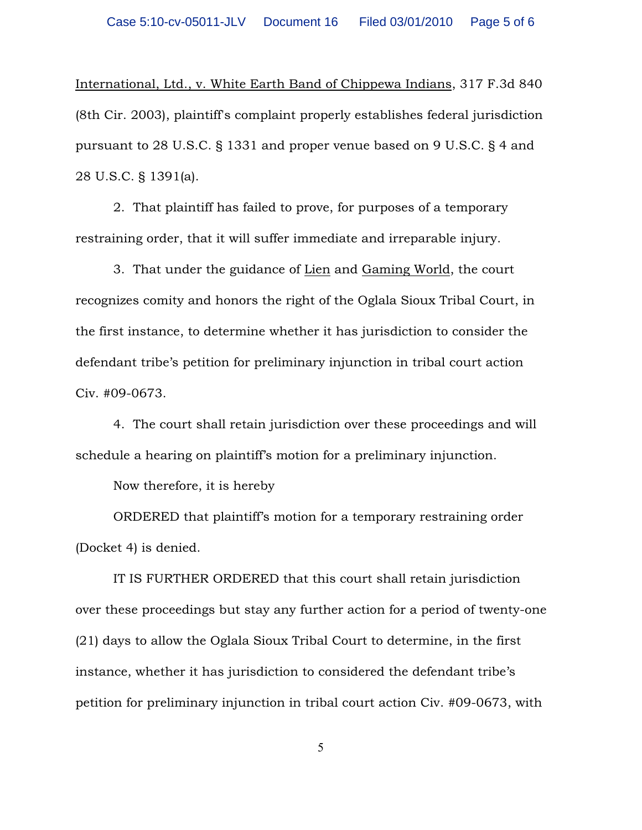International, Ltd., v. White Earth Band of Chippewa Indians, 317 F.3d 840 (8th Cir. 2003), plaintiff's complaint properly establishes federal jurisdiction pursuant to 28 U.S.C. § 1331 and proper venue based on 9 U.S.C. § 4 and 28 U.S.C. § 1391(a).

2. That plaintiff has failed to prove, for purposes of a temporary restraining order, that it will suffer immediate and irreparable injury.

3. That under the guidance of Lien and Gaming World, the court recognizes comity and honors the right of the Oglala Sioux Tribal Court, in the first instance, to determine whether it has jurisdiction to consider the defendant tribe's petition for preliminary injunction in tribal court action Civ. #09-0673.

4. The court shall retain jurisdiction over these proceedings and will schedule a hearing on plaintiff's motion for a preliminary injunction.

Now therefore, it is hereby

ORDERED that plaintiff's motion for a temporary restraining order (Docket 4) is denied.

IT IS FURTHER ORDERED that this court shall retain jurisdiction over these proceedings but stay any further action for a period of twenty-one (21) days to allow the Oglala Sioux Tribal Court to determine, in the first instance, whether it has jurisdiction to considered the defendant tribe's petition for preliminary injunction in tribal court action Civ. #09-0673, with